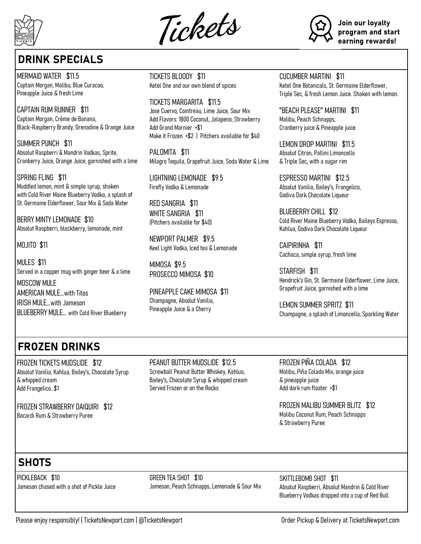

Tickets



Join our loyalty program and start earning rewards!

## DRINK SPECIALS

MERMAID WATER \$11.5 Captain Morgan, Malibu, Blue Curacao, Pineapple Juice & fresh Lime

CAPTAIN RUM RUNNER \$11 Captain Morgan, Crème de Banana, Black-Raspberry Brandy, Grenadine & Orange Juice

SUMMER PUNCH \$11 Absolut Raspberri & Mandrin Vodkas, Sprite, Cranberry Juice, Orange Juice, garnished with a lime

SPRING FLING \$11 Muddled lemon, mint & simple syrup, shaken with Cold River Maine Blueberry Vodka, a splash of St. Germaine Elderflower, Sour Mix & Soda Water

BERRY MINTY LEMONADE \$10 Absolut Raspberri, blackberry, lemonade, mint

#### MOJITO \$11

MULES \$11 Served in a copper mug with ginger beer & a lime MOSCOW MULE AMERICAN MULE…with Titos IRISH MULE…with Jameson BLUEBERRY MULE… with Cold River Blueberry

TICKETS BLOODY \$11 Ketel One and our own blend of spices

TICKETS MARGARITA \$11.5 Jose Cuervo, Cointreau, Lime Juice, Sour Mix Add Flavors: 1800 Coconut, Jalapeno, Strawberry Add Grand Marnier +\$1 Make it Frozen +\$2 | Pitchers available for \$40

PALOMITA \$11 Milagro Tequila, Grapefruit Juice, Soda Water & Lime

LIGHTNING LEMONADE \$9.5 Firefly Vodka & Lemonade

RED SANGRIA \$11 WHITE SANGRIA \$11 (Pitchers available for \$40)

NEWPORT PALMER \$9.5 Keel Light Vodka, Iced tea & Lemonade

MIMOSA \$9.5 PROSECCO MIMOSA \$10

PINEAPPLE CAKE MIMOSA \$11 Champagne, Absolut Vanilia, Pineapple Juice & a Cherry

#### CUCUMBER MARTINI \$11

Ketel One Botanicals, St. Germaine Elderflower, Triple Sec, & fresh Lemon Juice. Shaken with lemon.

"BEACH PLEASE" MARTINI \$11 Malibu, Peach Schnapps, Cranberry juice & Pineapple juice

LEMON DROP MARTINI \$11.5 Absolut Citron, Pallini Limoncello & Triple Sec, with a sugar rim

ESPRESSO MARTINI \$12.5 Absolut Vanilia, Bailey's, Frangelico, Godiva Dark Chocolate Liqueur

BLUEBERRY CHILL \$12 Cold River Maine Blueberry Vodka, Baileys Espresso, Kahlua, Godiva Dark Chocolate Liqueur

CAIPIRINHA \$11 Cachaca, simple syrup, fresh lime

STARFISH \$11 Hendrick's Gin, St. Germaine Elderflower, Lime Juice, Grapefruit Juice, garnished with a lime

LEMON SUMMER SPRITZ \$11 Champagne, a splash of Limoncello, Sparkling Water

## FROZEN DRINKS

FROZEN TICKETS MUDSLIDE \$12 Absolut Vanilia, Kahlua, Bailey's, Chocolate Syrup & whipped cream Add Frangelico…\$1

FROZEN STRAWBERRY DAIQUIRI \$12 Bacardi Rum & Strawberry Puree

PEANUT BUTTER MUDSLIDE \$12.5 Screwball Peanut Butter Whiskey, Kahlua, Bailey's, Chocolate Syrup & whipped cream Served Frozen or on the Rocks

FROZEN PIÑA COLADA \$12 Malibu, Piña Colada Mix, orange juice & pineapple juice Add dark rum floater +\$1

FROZEN MALIBU SUMMER BLITZ \$12 Malibu Coconut Rum, Peach Schnapps & Strawberry Puree

# **SHOTS**

PICKLEBACK \$10 Jameson chased with a shot of Pickle Juice GREEN TEA SHOT \$10 Jameson, Peach Schnapps, Lemonade & Sour Mix SKITTLEBOMB SHOT \$11 Absolut Raspberri, Absolut Mandrin & Cold River Blueberry Vodkas dropped into a cup of Red Bull